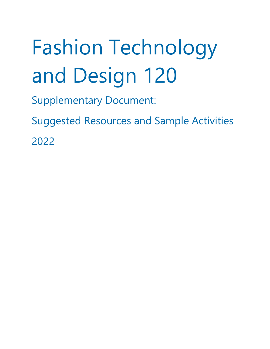# Fashion Technology and Design 120

- Supplementary Document:
- Suggested Resources and Sample Activities 2022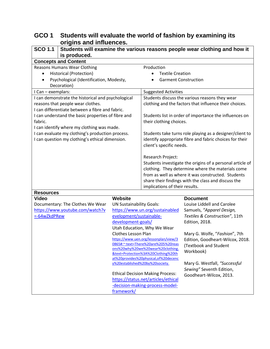# **GCO 1 Students will evaluate the world of fashion by examining its origins and influences.**

| <b>SCO 1.1</b><br>Students will examine the various reasons people wear clothing and how it |                                                                        |                                                                         |                                                                                                          |  |
|---------------------------------------------------------------------------------------------|------------------------------------------------------------------------|-------------------------------------------------------------------------|----------------------------------------------------------------------------------------------------------|--|
| is produced.                                                                                |                                                                        |                                                                         |                                                                                                          |  |
| <b>Concepts and Content</b>                                                                 |                                                                        |                                                                         |                                                                                                          |  |
| <b>Reasons Humans Wear Clothing</b>                                                         |                                                                        | Production                                                              |                                                                                                          |  |
| <b>Historical (Protection)</b>                                                              |                                                                        | <b>Textile Creation</b>                                                 |                                                                                                          |  |
| Psychological (Identification, Modesty,                                                     |                                                                        | <b>Garment Construction</b>                                             |                                                                                                          |  |
| Decoration)                                                                                 |                                                                        |                                                                         |                                                                                                          |  |
| I Can - exemplars:                                                                          |                                                                        |                                                                         | <b>Suggested Activities</b>                                                                              |  |
| I can demonstrate the historical and psychological<br>reasons that people wear clothes.     |                                                                        |                                                                         | Students discuss the various reasons they wear<br>clothing and the factors that influence their choices. |  |
| I can differentiate between a fibre and fabric.                                             |                                                                        |                                                                         |                                                                                                          |  |
| I can understand the basic properties of fibre and                                          |                                                                        |                                                                         | Students list in order of importance the influences on                                                   |  |
| fabric.                                                                                     |                                                                        | their clothing choices.                                                 |                                                                                                          |  |
| I can identify where my clothing was made.                                                  |                                                                        |                                                                         |                                                                                                          |  |
| I can evaluate my clothing's production process.                                            |                                                                        |                                                                         | Students take turns role playing as a designer/client to                                                 |  |
| I can question my clothing's ethical dimension.                                             |                                                                        | client's specific needs.                                                | identify appropriate fibre and fabric choices for their                                                  |  |
|                                                                                             |                                                                        | Research Project:                                                       |                                                                                                          |  |
|                                                                                             |                                                                        | Students investigate the origins of a personal article of               |                                                                                                          |  |
|                                                                                             |                                                                        | clothing. They determine where the materials come                       |                                                                                                          |  |
|                                                                                             |                                                                        |                                                                         | from as well as where it was constructed. Students                                                       |  |
|                                                                                             |                                                                        | share their findings with the class and discuss the                     |                                                                                                          |  |
|                                                                                             |                                                                        | implications of their results.                                          |                                                                                                          |  |
| <b>Resources</b><br><b>Video</b>                                                            | <b>Website</b>                                                         |                                                                         | <b>Document</b>                                                                                          |  |
| Documentary: The Clothes We Wear                                                            | <b>UN Sustainability Goals:</b>                                        |                                                                         | Louise Liddell and Carolee                                                                               |  |
| https://www.youtube.com/watch?v                                                             |                                                                        | https://www.un.org/sustainabled                                         | Samuels, "Apparel Design,                                                                                |  |
| =-64wZkdPRew                                                                                | evelopment/sustainable-                                                |                                                                         | Textiles & Construction", 11th                                                                           |  |
|                                                                                             | development-goals/                                                     |                                                                         | <b>Edition, 2018.</b>                                                                                    |  |
|                                                                                             |                                                                        | Utah Education, Why We Wear                                             |                                                                                                          |  |
|                                                                                             | <b>Clothes Lesson Plan</b>                                             |                                                                         | Mary G. Wolfe, "Fashion", 7th                                                                            |  |
|                                                                                             |                                                                        | https://www.uen.org/lessonplan/view/3                                   | Edition, Goodheart-Wilcox, 2018.                                                                         |  |
|                                                                                             |                                                                        | 0865#:~:text=There%20are%205%20reas                                     | (Textbook and Student                                                                                    |  |
|                                                                                             |                                                                        | ons%20why%20we%20wear%20clothing.                                       | Workbook)                                                                                                |  |
|                                                                                             |                                                                        | &text=Protection%3A%20Clothing%20th                                     |                                                                                                          |  |
|                                                                                             |                                                                        | at%20provides%20physical,of%20decenc<br>y%20established%20by%20society. | Mary G. Westfall, "Successful                                                                            |  |
|                                                                                             |                                                                        | <b>Ethical Decision Making Process:</b>                                 | Sewing" Seventh Edition,                                                                                 |  |
|                                                                                             |                                                                        |                                                                         | Goodheart-Wilcox, 2013.                                                                                  |  |
|                                                                                             | https://status.net/articles/ethical<br>-decision-making-process-model- |                                                                         |                                                                                                          |  |
|                                                                                             | framework/                                                             |                                                                         |                                                                                                          |  |
|                                                                                             |                                                                        |                                                                         |                                                                                                          |  |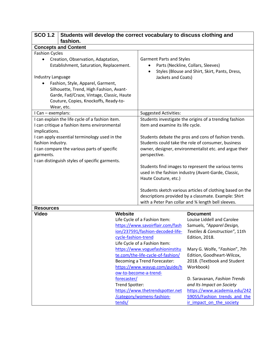| <b>SCO 1.2</b><br>Students will develop the correct vocabulary to discuss clothing and<br>fashion.                                                                                                                                                                                     |                                                                                                                                                                          |                                                                                                                                                                                                                                |
|----------------------------------------------------------------------------------------------------------------------------------------------------------------------------------------------------------------------------------------------------------------------------------------|--------------------------------------------------------------------------------------------------------------------------------------------------------------------------|--------------------------------------------------------------------------------------------------------------------------------------------------------------------------------------------------------------------------------|
| <b>Concepts and Content</b>                                                                                                                                                                                                                                                            |                                                                                                                                                                          |                                                                                                                                                                                                                                |
| <b>Fashion Cycles</b>                                                                                                                                                                                                                                                                  |                                                                                                                                                                          |                                                                                                                                                                                                                                |
| Creation, Observation, Adaptation,<br>Establishment, Saturation, Replacement.<br>Industry Language<br>Fashion, Style, Apparel, Garment,<br>Silhouette, Trend, High Fashion, Avant-<br>Garde, Fad/Craze, Vintage, Classic, Haute<br>Couture, Copies, Knockoffs, Ready-to-<br>Wear, etc. | <b>Garment Parts and Styles</b><br>$\bullet$<br>Jackets and Coats)                                                                                                       | Parts (Neckline, Collars, Sleeves)<br>Styles (Blouse and Shirt, Skirt, Pants, Dress,                                                                                                                                           |
| I Can - exemplars:                                                                                                                                                                                                                                                                     | <b>Suggested Activities:</b>                                                                                                                                             |                                                                                                                                                                                                                                |
| I can explain the life cycle of a fashion item.<br>I can critique a fashion items environmental<br>implications.                                                                                                                                                                       | item and examine its life cycle.                                                                                                                                         | Students investigate the origins of a trending fashion                                                                                                                                                                         |
| I can apply essential terminology used in the<br>fashion industry.<br>I can compare the various parts of specific<br>garments.<br>I can distinguish styles of specific garments.                                                                                                       | perspective.                                                                                                                                                             | Students debate the pros and cons of fashion trends.<br>Students could take the role of consumer, business<br>owner, designer, environmentalist etc. and argue their<br>Students find images to represent the various terms    |
|                                                                                                                                                                                                                                                                                        | Haute Couture, etc.)                                                                                                                                                     | used in the fashion industry (Avant-Garde, Classic,<br>Students sketch various articles of clothing based on the<br>descriptions provided by a classmate. Example: Shirt<br>with a Peter Pan collar and % length bell sleeves. |
| <b>Resources</b>                                                                                                                                                                                                                                                                       |                                                                                                                                                                          |                                                                                                                                                                                                                                |
| <b>Video</b>                                                                                                                                                                                                                                                                           | Website<br>Life Cycle of a Fashion Item:<br>https://www.savoirflair.com/fash<br>ion/237591/fashion-decoded-life-<br>cycle-fashion-trend<br>Life Cycle of a Fashion Item: | <b>Document</b><br>Louise Liddell and Carolee<br>Samuels, "Apparel Design,<br>Textiles & Construction", 11th<br><b>Edition, 2018.</b>                                                                                          |
|                                                                                                                                                                                                                                                                                        | https://www.voguefashioninstitu<br>te.com/the-life-cycle-of-fashion/<br>Becoming a Trend Forecaster:<br>https://www.wayup.com/guide/h<br>ow-to-become-a-trend-           | Mary G. Wolfe, "Fashion", 7th<br>Edition, Goodheart-Wilcox,<br>2018. (Textbook and Student<br>Workbook)                                                                                                                        |
|                                                                                                                                                                                                                                                                                        | forecaster/<br>Trend Spotter:<br>https://www.thetrendspotter.net<br>/category/womens-fashion-<br>tends/                                                                  | D. Saravanan, Fashion Trends<br>and Its Impact on Society<br>https://www.academia.edu/242<br>59055/Fashion trends and the<br>ir impact on the society                                                                          |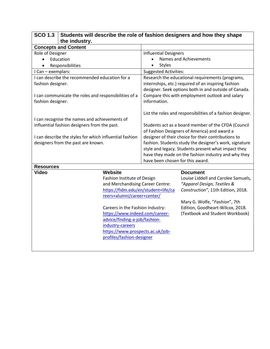| <b>SCO 1.3</b><br>Students will describe the role of fashion designers and how they shape |                                                         |                                                                                                            |  |
|-------------------------------------------------------------------------------------------|---------------------------------------------------------|------------------------------------------------------------------------------------------------------------|--|
|                                                                                           | the industry.                                           |                                                                                                            |  |
|                                                                                           | <b>Concepts and Content</b>                             |                                                                                                            |  |
| Role of Designer                                                                          |                                                         | <b>Influential Designers</b>                                                                               |  |
|                                                                                           | Education                                               | Names and Achievements                                                                                     |  |
| $\bullet$                                                                                 | Responsibilities                                        | <b>Styles</b>                                                                                              |  |
| I Can - exemplars:                                                                        |                                                         | <b>Suggested Activities:</b>                                                                               |  |
|                                                                                           | I can describe the recommended education for a          | Research the educational requirements (programs,                                                           |  |
| fashion designer.                                                                         |                                                         | internships, etc.) required of an inspiring fashion                                                        |  |
|                                                                                           |                                                         | designer. Seek options both in and outside of Canada.                                                      |  |
|                                                                                           | I can communicate the roles and responsibilities of a   | Compare this with employment outlook and salary                                                            |  |
| fashion designer.                                                                         |                                                         | information.                                                                                               |  |
|                                                                                           |                                                         |                                                                                                            |  |
|                                                                                           |                                                         | List the roles and responsibilities of a fashion designer.                                                 |  |
|                                                                                           | I can recognise the names and achievements of           |                                                                                                            |  |
|                                                                                           | influential fashion designers from the past.            | Students act as a board member of the CFDA (Council                                                        |  |
|                                                                                           |                                                         | of Fashion Designers of America) and award a                                                               |  |
|                                                                                           | I can describe the styles for which influential fashion | designer of their choice for their contributions to                                                        |  |
|                                                                                           | designers from the past are known.                      | fashion. Students study the designer's work, signature                                                     |  |
|                                                                                           |                                                         | style and legacy. Students present what impact they<br>have they made on the fashion industry and why they |  |
|                                                                                           |                                                         | have been chosen for this award.                                                                           |  |
| <b>Resources</b>                                                                          |                                                         |                                                                                                            |  |
| <b>Video</b>                                                                              | <b>Website</b>                                          | <b>Document</b>                                                                                            |  |
|                                                                                           | Fashion Institute of Design                             | Louise Liddell and Carolee Samuels,                                                                        |  |
|                                                                                           | and Merchandising Career Centre:                        | "Apparel Design, Textiles &                                                                                |  |
|                                                                                           | https://fidm.edu/en/student+life/ca                     | Construction", 11th Edition, 2018.                                                                         |  |
|                                                                                           | reers+alumni/career+center/                             |                                                                                                            |  |
|                                                                                           |                                                         | Mary G. Wolfe, "Fashion", 7th                                                                              |  |
|                                                                                           | Careers in the Fashion Industry:                        | Edition, Goodheart-Wilcox, 2018.                                                                           |  |
| https://www.indeed.com/career-                                                            |                                                         | (Textbook and Student Workbook)                                                                            |  |
|                                                                                           | advice/finding-a-job/fashion-                           |                                                                                                            |  |
| industry-careers                                                                          |                                                         |                                                                                                            |  |
| https://www.prospects.ac.uk/job-                                                          |                                                         |                                                                                                            |  |
| profiles/fashion-designer                                                                 |                                                         |                                                                                                            |  |
|                                                                                           |                                                         |                                                                                                            |  |
|                                                                                           |                                                         |                                                                                                            |  |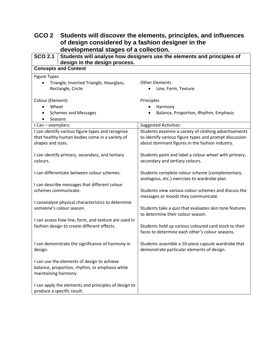# **GCO 2 Students will discover the elements, principles, and influences of design considered by a fashion designer in the developmental stages of a collection.**

| SCO 2.1<br>Students will analyse how designers use the elements and principles of<br>design in the design process.       |                                                                                                                                                                    |  |
|--------------------------------------------------------------------------------------------------------------------------|--------------------------------------------------------------------------------------------------------------------------------------------------------------------|--|
| <b>Concepts and Content</b>                                                                                              |                                                                                                                                                                    |  |
| <b>Figure Types</b><br>Triangle, Inverted Triangle, Hourglass,<br>Rectangle, Circle                                      | <b>Other Elements</b><br>Line, Form, Texture                                                                                                                       |  |
| Colour (Element)<br>Wheel<br>$\bullet$<br><b>Schemes and Messages</b><br>Seasons                                         | Principles<br>Harmony<br>٠<br>Balance, Proportion, Rhythm, Emphasis                                                                                                |  |
| I Can - exemplars:                                                                                                       | <b>Suggested Activities:</b>                                                                                                                                       |  |
| I can identify various figure types and recognise<br>that healthy human bodies come in a variety of<br>shapes and sizes. | Students examine a variety of clothing advertisements<br>to identify various figure types and prompt discussion<br>about dominant figures in the fashion industry. |  |
| I can identify primary, secondary, and tertiary<br>colours.                                                              | Students paint and label a colour wheel with primary,<br>secondary and tertiary colours.                                                                           |  |
| I can differentiate between colour schemes.                                                                              | Students complete colour scheme (complementary,<br>analogous, etc.) exercises to wardrobe plan.                                                                    |  |
| I can describe messages that different colour<br>schemes communicate.                                                    | Students view various colour schemes and discuss the<br>messages or moods they communicate.                                                                        |  |
| I cananalyse physical characteristics to determine<br>someone's colour season.                                           | Students take a quiz that evaluates skin tone features<br>to determine their colour season.                                                                        |  |
| I can assess how line, form, and texture are used in<br>fashion design to create different effects.                      | Students hold up various coloured card stock to their<br>faces to determine each other's colour seasons.                                                           |  |
| I can demonstrate the significance of harmony in<br>design.                                                              | Students assemble a 10-piece capsule wardrobe that<br>demonstrate particular elements of design.                                                                   |  |
| I can use the elements of design to achieve<br>balance, proportion, rhythm, or emphasis while<br>maintaining harmony.    |                                                                                                                                                                    |  |
| I can apply the elements and principles of design to<br>produce a specific result.                                       |                                                                                                                                                                    |  |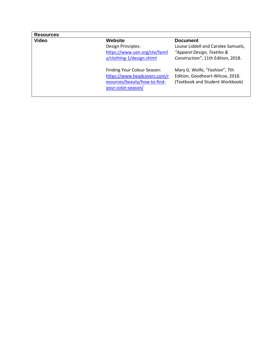### **Resources**

Design Principles: [https://www.uen.org/cte/famil](https://www.uen.org/cte/family/clothing-1/design.shtml) [y/clothing-1/design.shtml](https://www.uen.org/cte/family/clothing-1/design.shtml)

Finding Your Colour Season: [https://www.headcovers.com/r](https://www.headcovers.com/resources/beauty/how-to-find-your-color-season/) [esources/beauty/how-to-find](https://www.headcovers.com/resources/beauty/how-to-find-your-color-season/)[your-color-season/](https://www.headcovers.com/resources/beauty/how-to-find-your-color-season/)

### **Video Website Document**

Louise Liddell and Carolee Samuels, *"Apparel Design, Textiles & Construction"*, 11th Edition, 2018.

Mary G. Wolfe, "*Fashion*", 7th Edition, Goodheart-Wilcox, 2018. (Textbook and Student Workbook)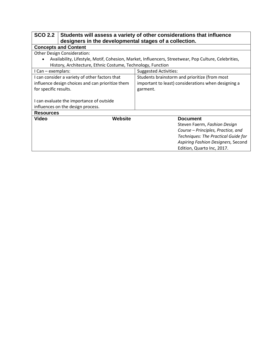| SCO 2.2 Students will assess a variety of other considerations that influence |  |
|-------------------------------------------------------------------------------|--|
| designers in the developmental stages of a collection.                        |  |

| accignole in the actorephrontal claged of a concetion.      |                                                                                                      |
|-------------------------------------------------------------|------------------------------------------------------------------------------------------------------|
| <b>Concepts and Content</b>                                 |                                                                                                      |
| <b>Other Design Consideration:</b>                          |                                                                                                      |
| $\bullet$                                                   | Availability, Lifestyle, Motif, Cohesion, Market, Influencers, Streetwear, Pop Culture, Celebrities, |
| History, Architecture, Ethnic Costume, Technology, Function |                                                                                                      |
| I Can – exemplars:                                          | <b>Suggested Activities:</b>                                                                         |
| I can consider a variety of other factors that              | Students brainstorm and prioritize (from most                                                        |
| influence design choices and can prioritize them            | important to least) considerations when designing a                                                  |
| for specific results.                                       | garment.                                                                                             |
|                                                             |                                                                                                      |
| I can evaluate the importance of outside                    |                                                                                                      |
| influences on the design process.                           |                                                                                                      |
| <b>Resources</b>                                            |                                                                                                      |
| <b>Video</b><br>Website                                     | <b>Document</b>                                                                                      |
|                                                             | Steven Faerm, Fashion Design                                                                         |
|                                                             | Course - Principles, Practice, and                                                                   |
|                                                             | <b>Techniques: The Practical Guide for</b>                                                           |
|                                                             | Aspiring Fashion Designers, Second                                                                   |
|                                                             | Edition, Quarto Inc, 2017.                                                                           |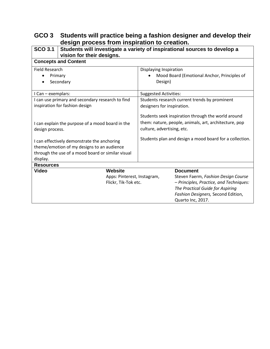### **GCO 3 Students will practice being a fashion designer and develop their design process from inspiration to creation.**

| $SCO$ 3.1                                         | Students will investigate a variety of inspirational sources to develop a<br>vision for their designs. |                                                         |  |
|---------------------------------------------------|--------------------------------------------------------------------------------------------------------|---------------------------------------------------------|--|
| <b>Concepts and Content</b>                       |                                                                                                        |                                                         |  |
| Field Research                                    |                                                                                                        | Displaying Inspiration                                  |  |
| Primary                                           |                                                                                                        | Mood Board (Emotional Anchor, Principles of             |  |
| Secondary                                         |                                                                                                        | Design)                                                 |  |
| I Can - exemplars:                                |                                                                                                        | <b>Suggested Activities:</b>                            |  |
| I can use primary and secondary research to find  |                                                                                                        | Students research current trends by prominent           |  |
| inspiration for fashion design                    |                                                                                                        | designers for inspiration.                              |  |
|                                                   |                                                                                                        | Students seek inspiration through the world around      |  |
| I can explain the purpose of a mood board in the  |                                                                                                        | them: nature, people, animals, art, architecture, pop   |  |
| design process.                                   |                                                                                                        | culture, advertising, etc.                              |  |
|                                                   |                                                                                                        | Students plan and design a mood board for a collection. |  |
| I can effectively demonstrate the anchoring       |                                                                                                        |                                                         |  |
| theme/emotion of my designs to an audience        |                                                                                                        |                                                         |  |
| through the use of a mood board or similar visual |                                                                                                        |                                                         |  |
| display.                                          |                                                                                                        |                                                         |  |
| <b>Resources</b>                                  |                                                                                                        |                                                         |  |
| <b>Video</b>                                      | <b>Website</b>                                                                                         | <b>Document</b>                                         |  |
|                                                   | Apps: Pinterest, Instagram,                                                                            | Steven Faerm, Fashion Design Course                     |  |
|                                                   | Flickr, Tik-Tok etc.                                                                                   | - Principles, Practice, and Techniques:                 |  |
|                                                   |                                                                                                        | The Practical Guide for Aspiring                        |  |
|                                                   |                                                                                                        | Fashion Designers, Second Edition,                      |  |
|                                                   |                                                                                                        | Quarto Inc, 2017.                                       |  |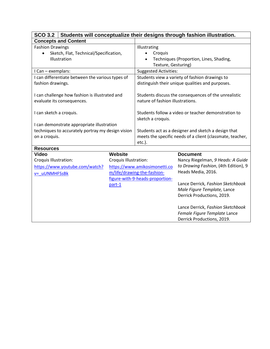| SCO 3.2 Students will conceptualize their designs through fashion illustration. |                       |                                                     |                                                           |  |  |
|---------------------------------------------------------------------------------|-----------------------|-----------------------------------------------------|-----------------------------------------------------------|--|--|
| <b>Concepts and Content</b>                                                     |                       |                                                     |                                                           |  |  |
| <b>Fashion Drawings</b>                                                         |                       | Illustrating                                        |                                                           |  |  |
| Sketch, Flat, Technical/Specification,                                          |                       | Croquis                                             |                                                           |  |  |
| Illustration                                                                    |                       |                                                     | Techniques (Proportion, Lines, Shading,                   |  |  |
|                                                                                 |                       |                                                     | Texture, Gesturing)                                       |  |  |
| I Can - exemplars:                                                              |                       | <b>Suggested Activities:</b>                        |                                                           |  |  |
| I can differentiate between the various types of                                |                       | Students view a variety of fashion drawings to      |                                                           |  |  |
| fashion drawings.                                                               |                       | distinguish their unique qualities and purposes.    |                                                           |  |  |
|                                                                                 |                       |                                                     |                                                           |  |  |
| I can challenge how fashion is illustrated and                                  |                       |                                                     | Students discuss the consequences of the unrealistic      |  |  |
| evaluate its consequences.                                                      |                       | nature of fashion illustrations.                    |                                                           |  |  |
|                                                                                 |                       |                                                     |                                                           |  |  |
| I can sketch a croquis.                                                         |                       | Students follow a video or teacher demonstration to |                                                           |  |  |
|                                                                                 |                       | sketch a croquis.                                   |                                                           |  |  |
| I can demonstrate appropriate illustration                                      |                       |                                                     |                                                           |  |  |
| techniques to accurately portray my design vision                               |                       |                                                     | Students act as a designer and sketch a design that       |  |  |
| on a croquis.                                                                   |                       |                                                     | meets the specific needs of a client (classmate, teacher, |  |  |
|                                                                                 |                       | $etc.$ ).                                           |                                                           |  |  |
| <b>Resources</b><br><b>Video</b>                                                | <b>Website</b>        |                                                     | <b>Document</b>                                           |  |  |
| Croquis Illustration:                                                           | Croquis Illustration: |                                                     | Nancy Riegelman, 9 Heads: A Guide                         |  |  |
|                                                                                 |                       |                                                     | to Drawing Fashion, (4th Edition), 9                      |  |  |
| https://www.youtube.com/watch?                                                  |                       | https://www.amikosimonetti.co                       | Heads Media, 2016.                                        |  |  |
| v= uUNMHFSsBk                                                                   |                       | m/life/drawing-the-fashion-                         |                                                           |  |  |
|                                                                                 |                       | figure-with-9-heads-proportion-                     | Lance Derrick, Fashion Sketchbook                         |  |  |
|                                                                                 | part-1                |                                                     | Male Figure Template, Lance                               |  |  |
|                                                                                 |                       |                                                     | Derrick Productions, 2019.                                |  |  |
|                                                                                 |                       |                                                     |                                                           |  |  |
|                                                                                 |                       |                                                     | Lance Derrick, Fashion Sketchbook                         |  |  |
|                                                                                 |                       |                                                     | Female Figure Template Lance                              |  |  |
|                                                                                 |                       |                                                     | Derrick Productions, 2019.                                |  |  |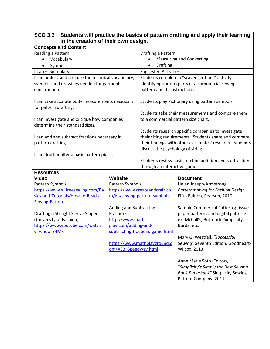| $SCO$ 3.3<br>in the creation of their own design.                               |                        |                                                          | Students will practice the basics of pattern drafting and apply their learning                                |
|---------------------------------------------------------------------------------|------------------------|----------------------------------------------------------|---------------------------------------------------------------------------------------------------------------|
| <b>Concepts and Content</b>                                                     |                        |                                                          |                                                                                                               |
| Reading a Pattern                                                               |                        | Drafting a Pattern                                       |                                                                                                               |
| Vocabulary<br>$\bullet$                                                         |                        |                                                          | <b>Measuring and Converting</b>                                                                               |
| Symbols                                                                         |                        | <b>Drafting</b><br>$\bullet$                             |                                                                                                               |
| I Can - exemplars:                                                              |                        | <b>Suggested Activities:</b>                             |                                                                                                               |
| I can understand and use the technical vocabulary,                              |                        | Students complete a "scavenger hunt" activity            |                                                                                                               |
| symbols, and drawings needed for garment                                        |                        | identifying various parts of a commercial sewing         |                                                                                                               |
| construction.                                                                   |                        | pattern and its instructions.                            |                                                                                                               |
| I can take accurate body measurements necessary<br>for pattern drafting.        |                        |                                                          | Students play Pictionary using pattern symbols.                                                               |
|                                                                                 |                        |                                                          | Students take their measurements and compare them                                                             |
| I can investigate and critique how companies<br>determine their standard sizes. |                        | to a commercial pattern size chart.                      |                                                                                                               |
|                                                                                 |                        |                                                          | Students research specific companies to investigate                                                           |
| I can add and subtract fractions necessary in                                   |                        |                                                          | their sizing requirements. Students share and compare                                                         |
| pattern drafting.                                                               |                        | their findings with other classmates' research. Students |                                                                                                               |
|                                                                                 |                        | discuss the psychology of sizing.                        |                                                                                                               |
| I can draft or alter a basic pattern piece.                                     |                        |                                                          |                                                                                                               |
|                                                                                 |                        | through an interactive game.                             | Students review basic fraction addition and subtraction                                                       |
| <b>Resources</b>                                                                |                        |                                                          |                                                                                                               |
| <b>Video</b>                                                                    | <b>Website</b>         |                                                          | <b>Document</b>                                                                                               |
| Pattern Symbols:                                                                | Pattern Symbols:       |                                                          | Helen Joseph-Armstrong,                                                                                       |
| https://www.allfreesewing.com/Ba                                                |                        | https://www.createandcraft.co                            | Patternmaking for Fashion Design,                                                                             |
| sics-and-Tutorials/How-to-Read-a-                                               |                        | m/gb/sewing-pattern-symbols                              | Fifth Edition, Pearson, 2010.                                                                                 |
| <b>Sewing-Pattern</b>                                                           | Adding and Subtracting |                                                          | Sample Commercial Patterns; tissue                                                                            |
| Drafting a Straight Sleeve Sloper                                               | Fractions:             |                                                          | paper patterns and digital patterns                                                                           |
| (University of Fashion):                                                        | http://www.math-       |                                                          | ex: McCall's, Butterick, Simplicity,                                                                          |
| https://www.youtube.com/watch?                                                  | play.com/adding-and-   |                                                          | Burda, etc.                                                                                                   |
| v=vJnqpilY4Mk                                                                   |                        | subtracting-fractions-game.html                          |                                                                                                               |
|                                                                                 |                        |                                                          | Mary G. Westfall, "Successful                                                                                 |
|                                                                                 |                        | https://www.mathplayground.c                             | Sewing" Seventh Edition, Goodheart-                                                                           |
|                                                                                 | om/ASB Speedway.html   |                                                          | Wilcox, 2013.                                                                                                 |
|                                                                                 |                        |                                                          | Anne Marie Soto (Editor),<br>"Simplicity's Simply the Best Sewing<br><b>Book Paperback" Simplicity Sewing</b> |
|                                                                                 |                        |                                                          | Pattern Company, 2011                                                                                         |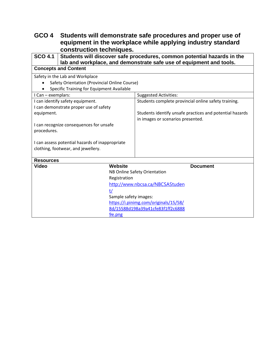### **GCO 4 Students will demonstrate safe procedures and proper use of equipment in the workplace while applying industry standard construction techniques.**

| <b>SCO 4.1</b>        | Students will discover safe procedures, common potential hazards in the<br>lab and workplace, and demonstrate safe use of equipment and tools. |                                                          |
|-----------------------|------------------------------------------------------------------------------------------------------------------------------------------------|----------------------------------------------------------|
|                       | <b>Concepts and Content</b>                                                                                                                    |                                                          |
|                       | Safety in the Lab and Workplace                                                                                                                |                                                          |
|                       | Safety Orientation (Provincial Online Course)                                                                                                  |                                                          |
|                       | Specific Training for Equipment Available                                                                                                      |                                                          |
| I Can - exemplars:    |                                                                                                                                                | <b>Suggested Activities:</b>                             |
|                       | I can identify safety equipment.                                                                                                               | Students complete provincial online safety training.     |
|                       | I can demonstrate proper use of safety                                                                                                         |                                                          |
| equipment.            |                                                                                                                                                | Students identify unsafe practices and potential hazards |
|                       |                                                                                                                                                | in images or scenarios presented.                        |
|                       | I can recognize consequences for unsafe                                                                                                        |                                                          |
| procedures.           |                                                                                                                                                |                                                          |
|                       |                                                                                                                                                |                                                          |
|                       | I can assess potential hazards of inappropriate                                                                                                |                                                          |
|                       | clothing, footwear, and jewellery.                                                                                                             |                                                          |
| <b>Resources</b>      |                                                                                                                                                |                                                          |
| <b>Video</b>          | <b>Website</b>                                                                                                                                 | <b>Document</b>                                          |
|                       |                                                                                                                                                | NB Online Safety Orientation                             |
|                       | Registration                                                                                                                                   |                                                          |
|                       |                                                                                                                                                | http://www.nbcsa.ca/NBCSAStuden                          |
| t/                    |                                                                                                                                                |                                                          |
| Sample safety images: |                                                                                                                                                |                                                          |
|                       |                                                                                                                                                | https://i.pinimg.com/originals/15/58/                    |
|                       |                                                                                                                                                | 8d/15588d198a39a41cfe83f1ff2c6888                        |
| 9e.png                |                                                                                                                                                |                                                          |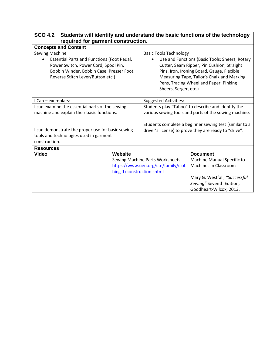| <b>SCO 4.2</b><br>Students will identify and understand the basic functions of the technology<br>required for garment construction. |                                                                                                |                                                                         |                                                                                                                                                                                                                                    |
|-------------------------------------------------------------------------------------------------------------------------------------|------------------------------------------------------------------------------------------------|-------------------------------------------------------------------------|------------------------------------------------------------------------------------------------------------------------------------------------------------------------------------------------------------------------------------|
| <b>Concepts and Content</b>                                                                                                         |                                                                                                |                                                                         |                                                                                                                                                                                                                                    |
| <b>Sewing Machine</b>                                                                                                               |                                                                                                | <b>Basic Tools Technology</b>                                           |                                                                                                                                                                                                                                    |
| Power Switch, Power Cord, Spool Pin,<br>Reverse Stitch Lever/Button etc.)                                                           | <b>Essential Parts and Functions (Foot Pedal,</b><br>Bobbin Winder, Bobbin Case, Presser Foot, | Sheers, Serger, etc.)                                                   | Use and Functions (Basic Tools: Sheers, Rotary<br>Cutter, Seam Ripper, Pin Cushion, Straight<br>Pins, Iron, Ironing Board, Gauge, Flexible<br>Measuring Tape, Tailor's Chalk and Marking<br>Pens, Tracing Wheel and Paper, Pinking |
| I Can - exemplars:                                                                                                                  |                                                                                                | <b>Suggested Activities:</b>                                            |                                                                                                                                                                                                                                    |
| I can examine the essential parts of the sewing<br>machine and explain their basic functions.                                       |                                                                                                |                                                                         | Students play "Taboo" to describe and identify the<br>various sewing tools and parts of the sewing machine.                                                                                                                        |
| I can demonstrate the proper use for basic sewing<br>tools and technologies used in garment<br>construction.                        |                                                                                                |                                                                         | Students complete a beginner sewing test (similar to a<br>driver's license) to prove they are ready to "drive".                                                                                                                    |
| <b>Resources</b>                                                                                                                    |                                                                                                |                                                                         |                                                                                                                                                                                                                                    |
| <b>Video</b>                                                                                                                        | <b>Website</b><br>hing-1/construction.shtml                                                    | Sewing Machine Parts Worksheets:<br>https://www.uen.org/cte/family/clot | <b>Document</b><br>Machine Manual Specific to<br>Machines in Classroom<br>Mary G. Westfall, "Successful<br>Sewing" Seventh Edition,<br>Goodheart-Wilcox, 2013.                                                                     |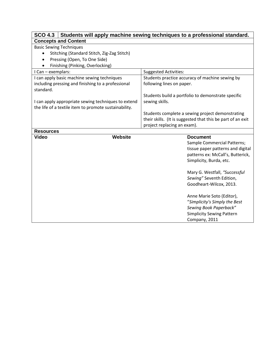| Students will apply machine sewing techniques to a professional standard.<br><b>SCO 4.3</b>                  |                                                             |  |
|--------------------------------------------------------------------------------------------------------------|-------------------------------------------------------------|--|
| <b>Concepts and Content</b>                                                                                  |                                                             |  |
| <b>Basic Sewing Techniques</b>                                                                               |                                                             |  |
| Stitching (Standard Stitch, Zig-Zag Stitch)                                                                  |                                                             |  |
| Pressing (Open, To One Side)                                                                                 |                                                             |  |
| Finishing (Pinking, Overlocking)                                                                             |                                                             |  |
| I Can - exemplars:                                                                                           | <b>Suggested Activities:</b>                                |  |
| I can apply basic machine sewing techniques                                                                  | Students practice accuracy of machine sewing by             |  |
| including pressing and finishing to a professional<br>standard.                                              | following lines on paper.                                   |  |
|                                                                                                              | Students build a portfolio to demonstrate specific          |  |
| I can apply appropriate sewing techniques to extend<br>the life of a textile item to promote sustainability. | sewing skills.                                              |  |
|                                                                                                              | Students complete a sewing project demonstrating            |  |
|                                                                                                              | their skills. (It is suggested that this be part of an exit |  |
|                                                                                                              | project replacing an exam).                                 |  |
| <b>Resources</b>                                                                                             |                                                             |  |
| <b>Website</b><br><b>Video</b>                                                                               | <b>Document</b>                                             |  |
|                                                                                                              | Sample Commercial Patterns;                                 |  |
|                                                                                                              | tissue paper patterns and digital                           |  |
|                                                                                                              | patterns ex: McCall's, Butterick,                           |  |
|                                                                                                              | Simplicity, Burda, etc.                                     |  |
|                                                                                                              | Mary G. Westfall, "Successful                               |  |
|                                                                                                              | Sewing" Seventh Edition,                                    |  |
|                                                                                                              | Goodheart-Wilcox, 2013.                                     |  |
|                                                                                                              |                                                             |  |
|                                                                                                              | Anne Marie Soto (Editor),                                   |  |
|                                                                                                              | "Simplicity's Simply the Best                               |  |
|                                                                                                              | Sewing Book Paperback"                                      |  |
|                                                                                                              | <b>Simplicity Sewing Pattern</b>                            |  |
|                                                                                                              | Company, 2011                                               |  |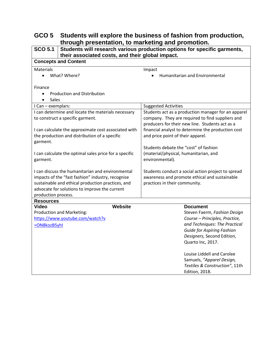## **GCO 5 Students will explore the business of fashion from production, through presentation, to marketing and promotion.**

| <b>SCO 5.1</b>                                                                                                                                                                                                                                                                                                                                                                                                                                                                                                          | Students will research various production options for specific garments,<br>their associated costs, and their global impact.                                                                                                                                                                                                                                                                                                                                                                       |  |  |  |  |
|-------------------------------------------------------------------------------------------------------------------------------------------------------------------------------------------------------------------------------------------------------------------------------------------------------------------------------------------------------------------------------------------------------------------------------------------------------------------------------------------------------------------------|----------------------------------------------------------------------------------------------------------------------------------------------------------------------------------------------------------------------------------------------------------------------------------------------------------------------------------------------------------------------------------------------------------------------------------------------------------------------------------------------------|--|--|--|--|
| <b>Concepts and Content</b>                                                                                                                                                                                                                                                                                                                                                                                                                                                                                             |                                                                                                                                                                                                                                                                                                                                                                                                                                                                                                    |  |  |  |  |
| <b>Materials</b><br>What? Where?<br>$\bullet$                                                                                                                                                                                                                                                                                                                                                                                                                                                                           | Impact<br>Humanitarian and Environmental<br>$\bullet$                                                                                                                                                                                                                                                                                                                                                                                                                                              |  |  |  |  |
| Finance<br><b>Production and Distribution</b><br>$\bullet$<br>Sales<br>$\bullet$                                                                                                                                                                                                                                                                                                                                                                                                                                        |                                                                                                                                                                                                                                                                                                                                                                                                                                                                                                    |  |  |  |  |
| I Can - exemplars:                                                                                                                                                                                                                                                                                                                                                                                                                                                                                                      | <b>Suggested Activities</b>                                                                                                                                                                                                                                                                                                                                                                                                                                                                        |  |  |  |  |
| I can determine and locate the materials necessary<br>to construct a specific garment.<br>I can calculate the approximate cost associated with<br>the production and distribution of a specific<br>garment.<br>I can calculate the optimal sales price for a specific<br>garment.<br>I can discuss the humanitarian and environmental<br>impacts of the "fast fashion" industry, recognise<br>sustainable and ethical production practices, and<br>advocate for solutions to improve the current<br>production process. | Students act as a production manager for an apparel<br>company. They are required to find suppliers and<br>producers for their new line. Students act as a<br>financial analyst to determine the production cost<br>and price point of their apparel.<br>Students debate the "cost" of fashion<br>(material/physical, humanitarian, and<br>environmental).<br>Students conduct a social action project to spread<br>awareness and promote ethical and sustainable<br>practices in their community. |  |  |  |  |
| <b>Resources</b>                                                                                                                                                                                                                                                                                                                                                                                                                                                                                                        |                                                                                                                                                                                                                                                                                                                                                                                                                                                                                                    |  |  |  |  |
| <b>Website</b><br><b>Video</b><br>Production and Marketing:<br>https://www.youtube.com/watch?v<br>=ON8kozB5yhI                                                                                                                                                                                                                                                                                                                                                                                                          | <b>Document</b><br>Steven Faerm, Fashion Design<br>Course - Principles, Practice,<br>and Techniques: The Practical<br><b>Guide for Aspiring Fashion</b><br>Designers, Second Edition,<br>Quarto Inc, 2017.<br>Louise Liddell and Carolee<br>Samuels, "Apparel Design,<br>Textiles & Construction", 11th<br><b>Edition, 2018.</b>                                                                                                                                                                   |  |  |  |  |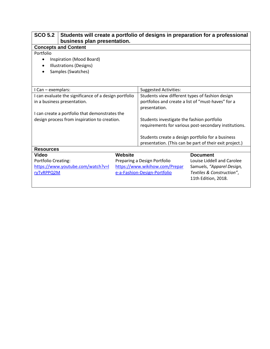| <b>SCO 5.2</b>                                        | Students will create a portfolio of designs in preparation for a professional<br>business plan presentation. |                                                                     |  |                                                       |
|-------------------------------------------------------|--------------------------------------------------------------------------------------------------------------|---------------------------------------------------------------------|--|-------------------------------------------------------|
| <b>Concepts and Content</b>                           |                                                                                                              |                                                                     |  |                                                       |
| Portfolio                                             |                                                                                                              |                                                                     |  |                                                       |
| Inspiration (Mood Board)<br>$\bullet$                 |                                                                                                              |                                                                     |  |                                                       |
|                                                       | Illustrations (Designs)                                                                                      |                                                                     |  |                                                       |
|                                                       | Samples (Swatches)                                                                                           |                                                                     |  |                                                       |
|                                                       |                                                                                                              |                                                                     |  |                                                       |
|                                                       |                                                                                                              |                                                                     |  |                                                       |
| I Can - exemplars:                                    |                                                                                                              | <b>Suggested Activities:</b>                                        |  |                                                       |
| I can evaluate the significance of a design portfolio |                                                                                                              | Students view different types of fashion design                     |  |                                                       |
| in a business presentation.                           |                                                                                                              | portfolios and create a list of "must-haves" for a<br>presentation. |  |                                                       |
|                                                       | I can create a portfolio that demonstrates the                                                               |                                                                     |  |                                                       |
| design process from inspiration to creation.          |                                                                                                              | Students investigate the fashion portfolio                          |  |                                                       |
|                                                       |                                                                                                              |                                                                     |  | requirements for various post-secondary institutions. |
|                                                       |                                                                                                              | Students create a design portfolio for a business                   |  |                                                       |
|                                                       |                                                                                                              | presentation. (This can be part of their exit project.)             |  |                                                       |
| <b>Resources</b>                                      |                                                                                                              |                                                                     |  |                                                       |
| <b>Video</b>                                          |                                                                                                              | <b>Website</b>                                                      |  | <b>Document</b>                                       |
| <b>Portfolio Creating:</b>                            |                                                                                                              | Preparing a Design Portfolio                                        |  | Louise Liddell and Carolee                            |
|                                                       | https://www.youtube.com/watch?v=l                                                                            | https://www.wikihow.com/Prepar<br>Samuels, "Apparel Design,         |  |                                                       |
| ryTvRPPQ2M                                            |                                                                                                              | e-a-Fashion-Design-Portfolio<br>Textiles & Construction",           |  |                                                       |
|                                                       |                                                                                                              |                                                                     |  | 11th Edition, 2018.                                   |